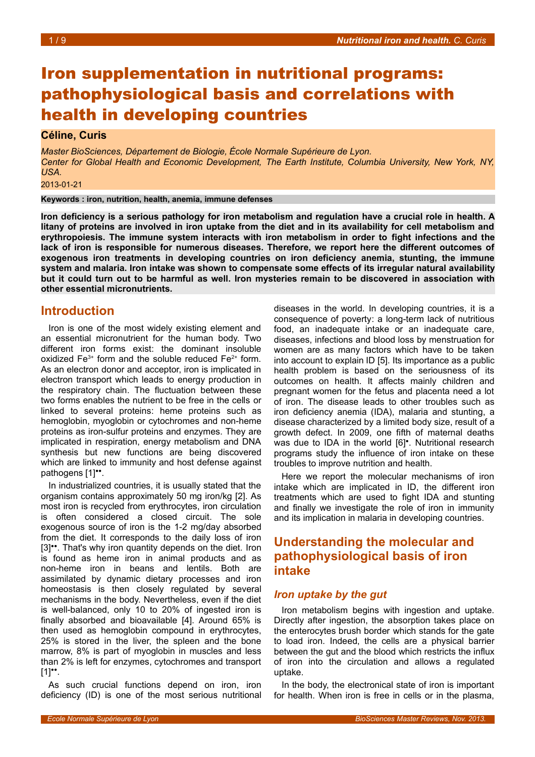# Iron supplementation in nutritional programs: pathophysiological basis and correlations with health in developing countries

### **Céline, Curis**

*Master BioSciences, Département de Biologie, École Normale Supérieure de Lyon. Center for Global Health and Economic Development, The Earth Institute, Columbia University, New York, NY, USA.*

2013-01-21

**Keywords : iron, nutrition, health, anemia, immune defenses**

**Iron deficiency is a serious pathology for iron metabolism and regulation have a crucial role in health. A litany of proteins are involved in iron uptake from the diet and in its availability for cell metabolism and erythropoiesis. The immune system interacts with iron metabolism in order to fight infections and the lack of iron is responsible for numerous diseases. Therefore, we report here the different outcomes of exogenous iron treatments in developing countries on iron deficiency anemia, stunting, the immune system and malaria. Iron intake was shown to compensate some effects of its irregular natural availability but it could turn out to be harmful as well. Iron mysteries remain to be discovered in association with other essential micronutrients.**

## **Introduction**

Iron is one of the most widely existing element and an essential micronutrient for the human body. Two different iron forms exist: the dominant insoluble oxidized  $Fe^{3+}$  form and the soluble reduced  $Fe^{2+}$  form. As an electron donor and acceptor, iron is implicated in electron transport which leads to energy production in the respiratory chain. The fluctuation between these two forms enables the nutrient to be free in the cells or linked to several proteins: heme proteins such as hemoglobin, myoglobin or cytochromes and non-heme proteins as iron-sulfur proteins and enzymes. They are implicated in respiration, energy metabolism and DNA synthesis but new functions are being discovered which are linked to immunity and host defense against pathogens [1]<sup>••</sup>.

In industrialized countries, it is usually stated that the organism contains approximately 50 mg iron/kg [2]. As most iron is recycled from erythrocytes, iron circulation is often considered a closed circuit. The sole exogenous source of iron is the 1-2 mg/day absorbed from the diet. It corresponds to the daily loss of iron [3]<sup>\*\*</sup>. That's why iron quantity depends on the diet. Iron is found as heme iron in animal products and as non-heme iron in beans and lentils. Both are assimilated by dynamic dietary processes and iron homeostasis is then closely regulated by several mechanisms in the body. Nevertheless, even if the diet is well-balanced, only 10 to 20% of ingested iron is finally absorbed and bioavailable [4]. Around 65% is then used as hemoglobin compound in erythrocytes, 25% is stored in the liver, the spleen and the bone marrow, 8% is part of myoglobin in muscles and less than 2% is left for enzymes, cytochromes and transport  $[1]$ <sup>\*</sup>\*.

As such crucial functions depend on iron, iron deficiency (ID) is one of the most serious nutritional

diseases in the world. In developing countries, it is a consequence of poverty: a long-term lack of nutritious food, an inadequate intake or an inadequate care, diseases, infections and blood loss by menstruation for women are as many factors which have to be taken into account to explain ID [5]. Its importance as a public health problem is based on the seriousness of its outcomes on health. It affects mainly children and pregnant women for the fetus and placenta need a lot of iron. The disease leads to other troubles such as iron deficiency anemia (IDA), malaria and stunting, a disease characterized by a limited body size, result of a growth defect. In 2009, one fifth of maternal deaths was due to IDA in the world [6]<sup>•</sup>. Nutritional research programs study the influence of iron intake on these troubles to improve nutrition and health.

Here we report the molecular mechanisms of iron intake which are implicated in ID, the different iron treatments which are used to fight IDA and stunting and finally we investigate the role of iron in immunity and its implication in malaria in developing countries.

# **Understanding the molecular and pathophysiological basis of iron intake**

#### *Iron uptake by the gut*

Iron metabolism begins with ingestion and uptake. Directly after ingestion, the absorption takes place on the enterocytes brush border which stands for the gate to load iron. Indeed, the cells are a physical barrier between the gut and the blood which restricts the influx of iron into the circulation and allows a regulated uptake.

In the body, the electronical state of iron is important for health. When iron is free in cells or in the plasma,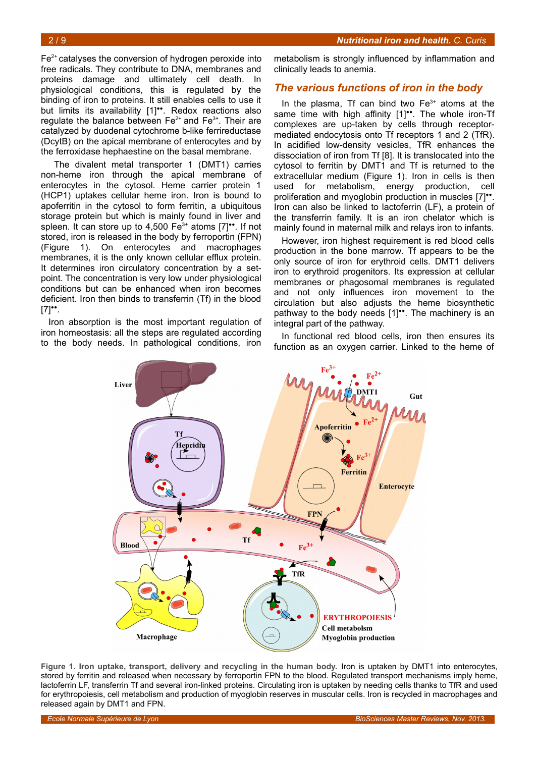$Fe<sup>2+</sup>$  catalyses the conversion of hydrogen peroxide into free radicals. They contribute to DNA, membranes and proteins damage and ultimately cell death. In physiological conditions, this is regulated by the binding of iron to proteins. It still enables cells to use it but limits its availability [1]<sup>••</sup>. Redox reactions also regulate the balance between  $Fe^{2+}$  and  $Fe^{3+}$ . Their are catalyzed by duodenal cytochrome b-like ferrireductase (DcytB) on the apical membrane of enterocytes and by the ferroxidase hephaestine on the basal membrane.

The divalent metal transporter 1 (DMT1) carries non-heme iron through the apical membrane of enterocytes in the cytosol. Heme carrier protein 1 (HCP1) uptakes cellular heme iron. Iron is bound to apoferritin in the cytosol to form ferritin, a ubiquitous storage protein but which is mainly found in liver and spleen. It can store up to 4,500  $Fe^{3+}$  atoms  $[7]$ <sup>\*\*</sup>. If not stored, iron is released in the body by ferroportin (FPN) (Figure [1\)](#page-1-0). On enterocytes and macrophages membranes, it is the only known cellular efflux protein. It determines iron circulatory concentration by a setpoint. The concentration is very low under physiological conditions but can be enhanced when iron becomes deficient. Iron then binds to transferrin (Tf) in the blood  $[7]$ <sup>\*</sup>.

<span id="page-1-0"></span>Iron absorption is the most important regulation of iron homeostasis: all the steps are regulated according to the body needs. In pathological conditions, iron

metabolism is strongly influenced by inflammation and clinically leads to anemia.

#### *The various functions of iron in the body*

In the plasma, Tf can bind two  $Fe<sup>3+</sup>$  atoms at the same time with high affinity [1]<sup>\*\*</sup>. The whole iron-Tf complexes are up-taken by cells through receptormediated endocytosis onto Tf receptors 1 and 2 (TfR). In acidified low-density vesicles, TfR enhances the dissociation of iron from Tf [8]. It is translocated into the cytosol to ferritin by DMT1 and Tf is returned to the extracellular medium (Figure [1\)](#page-1-1). Iron in cells is then used for metabolism, energy production, cell proliferation and myoglobin production in muscles [7]". Iron can also be linked to lactoferrin (LF), a protein of the transferrin family. It is an iron chelator which is mainly found in maternal milk and relays iron to infants.

<span id="page-1-1"></span>However, iron highest requirement is red blood cells production in the bone marrow. Tf appears to be the only source of iron for erythroid cells. DMT1 delivers iron to erythroid progenitors. Its expression at cellular membranes or phagosomal membranes is regulated and not only influences iron movement to the circulation but also adjusts the heme biosynthetic pathway to the body needs [1]<sup>\*\*</sup>. The machinery is an integral part of the pathway.

In functional red blood cells, iron then ensures its function as an oxygen carrier. Linked to the heme of



**Figure 1. Iron uptake, transport, delivery and recycling in the human body.** Iron is uptaken by DMT1 into enterocytes, stored by ferritin and released when necessary by ferroportin FPN to the blood. Regulated transport mechanisms imply heme, lactoferrin LF, transferrin Tf and several iron-linked proteins. Circulating iron is uptaken by needing cells thanks to TfR and used for erythropoiesis, cell metabolism and production of myoglobin reserves in muscular cells. Iron is recycled in macrophages and released again by DMT1 and FPN.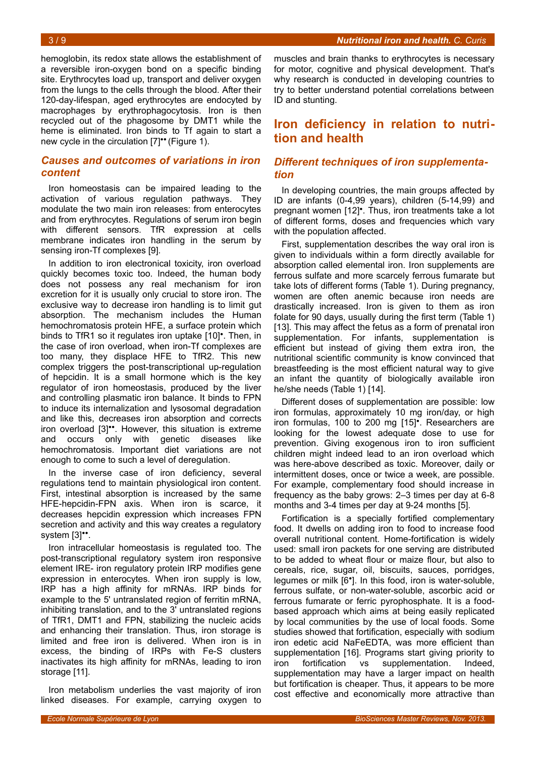hemoglobin, its redox state allows the establishment of a reversible iron-oxygen bond on a specific binding site. Erythrocytes load up, transport and deliver oxygen from the lungs to the cells through the blood. After their 120-day-lifespan, aged erythrocytes are endocyted by macrophages by erythrophagocytosis. Iron is then recycled out of the phagosome by DMT1 while the heme is eliminated. Iron binds to Tf again to start a new cycle in the circulation  $[7]$ <sup>\*\*</sup> (Figure [1\)](#page-2-0).

### *Causes and outcomes of variations in iron content*

Iron homeostasis can be impaired leading to the activation of various regulation pathways. They modulate the two main iron releases: from enterocytes and from erythrocytes. Regulations of serum iron begin with different sensors. TfR expression at cells membrane indicates iron handling in the serum by sensing iron-Tf complexes [9].

In addition to iron electronical toxicity, iron overload quickly becomes toxic too. Indeed, the human body does not possess any real mechanism for iron excretion for it is usually only crucial to store iron. The exclusive way to decrease iron handling is to limit gut absorption. The mechanism includes the Human hemochromatosis protein HFE, a surface protein which binds to TfR1 so it regulates iron uptake [10]<sup>•</sup>. Then, in the case of iron overload, when iron-Tf complexes are too many, they displace HFE to TfR2. This new complex triggers the post-transcriptional up-regulation of hepcidin. It is a small hormone which is the key regulator of iron homeostasis, produced by the liver and controlling plasmatic iron balance. It binds to FPN to induce its internalization and lysosomal degradation and like this, decreases iron absorption and corrects iron overload [3]<sup>\*\*</sup>. However, this situation is extreme and occurs only with genetic diseases like hemochromatosis. Important diet variations are not enough to come to such a level of deregulation.

In the inverse case of iron deficiency, several regulations tend to maintain physiological iron content. First, intestinal absorption is increased by the same HFE-hepcidin-FPN axis. When iron is scarce, it decreases hepcidin expression which increases FPN secretion and activity and this way creates a regulatory system [3]\*\*.

Iron intracellular homeostasis is regulated too. The post-transcriptional regulatory system iron responsive element IRE- iron regulatory protein IRP modifies gene expression in enterocytes. When iron supply is low, IRP has a high affinity for mRNAs. IRP binds for example to the 5' untranslated region of ferritin mRNA, inhibiting translation, and to the 3' untranslated regions of TfR1, DMT1 and FPN, stabilizing the nucleic acids and enhancing their translation. Thus, iron storage is limited and free iron is delivered. When iron is in excess, the binding of IRPs with Fe-S clusters inactivates its high affinity for mRNAs, leading to iron storage [11].

Iron metabolism underlies the vast majority of iron linked diseases. For example, carrying oxygen to

muscles and brain thanks to erythrocytes is necessary for motor, cognitive and physical development. That's why research is conducted in developing countries to try to better understand potential correlations between ID and stunting.

# <span id="page-2-0"></span>**Iron deficiency in relation to nutrition and health**

### *Different techniques of iron supplementation*

In developing countries, the main groups affected by ID are infants (0-4,99 years), children (5-14,99) and pregnant women [12]<sup>•</sup>. Thus, iron treatments take a lot of different forms, doses and frequencies which vary with the population affected.

First, supplementation describes the way oral iron is given to individuals within a form directly available for absorption called elemental iron. Iron supplements are ferrous sulfate and more scarcely ferrous fumarate but take lots of different forms (Table [1\)](#page-3-0). During pregnancy, women are often anemic because iron needs are drastically increased. Iron is given to them as iron folate for 90 days, usually during the first term (Table [1\)](#page-3-0) [13]. This may affect the fetus as a form of prenatal iron supplementation. For infants, supplementation is efficient but instead of giving them extra iron, the nutritional scientific community is know convinced that breastfeeding is the most efficient natural way to give an infant the quantity of biologically available iron he/she needs (Table [1\)](#page-3-0) [14].

Different doses of supplementation are possible: low iron formulas, approximately 10 mg iron/day, or high iron formulas, 100 to 200 mg [15]<sup>•</sup>. Researchers are looking for the lowest adequate dose to use for prevention. Giving exogenous iron to iron sufficient children might indeed lead to an iron overload which was here-above described as toxic. Moreover, daily or intermittent doses, once or twice a week, are possible. For example, complementary food should increase in frequency as the baby grows: 2–3 times per day at 6-8 months and 3-4 times per day at 9-24 months [5].

Fortification is a specially fortified complementary food. It dwells on adding iron to food to increase food overall nutritional content. Home-fortification is widely used: small iron packets for one serving are distributed to be added to wheat flour or maize flour, but also to cereals, rice, sugar, oil, biscuits, sauces, porridges, legumes or milk [6<sup>•</sup>]. In this food, iron is water-soluble, ferrous sulfate, or non-water-soluble, ascorbic acid or ferrous fumarate or ferric pyrophosphate. It is a foodbased approach which aims at being easily replicated by local communities by the use of local foods. Some studies showed that fortification, especially with sodium iron edetic acid NaFeEDTA, was more efficient than supplementation [16]. Programs start giving priority to iron fortification vs supplementation. Indeed, supplementation may have a larger impact on health but fortification is cheaper. Thus, it appears to be more cost effective and economically more attractive than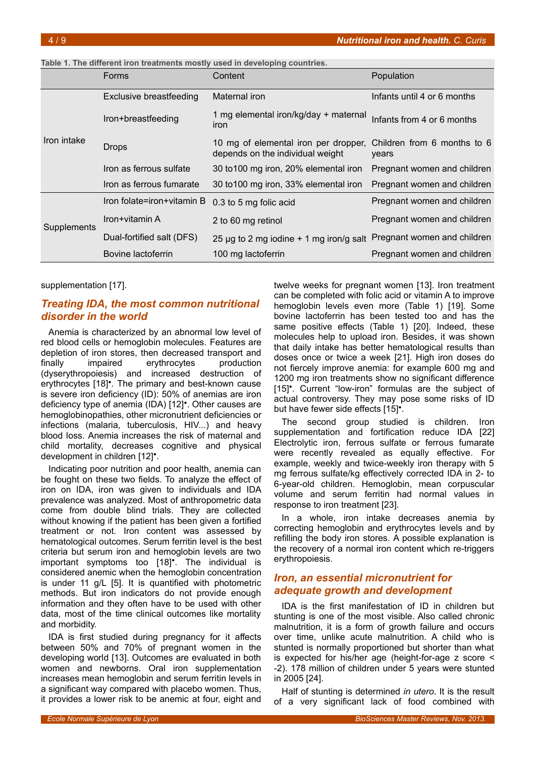<span id="page-3-0"></span>

| Table 1. The different iron treatments mostly used in developing countries. |  |
|-----------------------------------------------------------------------------|--|
|-----------------------------------------------------------------------------|--|

|             | Forms                          | Content                                                                  | Population                           |
|-------------|--------------------------------|--------------------------------------------------------------------------|--------------------------------------|
|             | <b>Exclusive breastfeeding</b> | Maternal iron                                                            | Infants until 4 or 6 months          |
| Iron intake | Iron+breastfeeding             | 1 mg elemental iron/kg/day + maternal<br>iron                            | Infants from 4 or 6 months           |
|             | <b>Drops</b>                   | 10 mg of elemental iron per dropper,<br>depends on the individual weight | Children from 6 months to 6<br>years |
|             | Iron as ferrous sulfate        | 30 to 100 mg iron, 20% elemental iron                                    | Pregnant women and children          |
|             | Iron as ferrous fumarate       | 30 to 100 mg iron, 33% elemental iron                                    | Pregnant women and children          |
| Supplements | Iron folate=iron+vitamin B     | 0.3 to 5 mg folic acid                                                   | Pregnant women and children          |
|             | Iron+vitamin A                 | 2 to 60 mg retinol                                                       | Pregnant women and children          |
|             | Dual-fortified salt (DFS)      | 25 µg to 2 mg iodine + 1 mg iron/g salt Pregnant women and children      |                                      |
|             | Bovine lactoferrin             | 100 mg lactoferrin                                                       | Pregnant women and children          |

supplementation [17].

### *Treating IDA, the most common nutritional disorder in the world*

Anemia is characterized by an abnormal low level of red blood cells or hemoglobin molecules. Features are depletion of iron stores, then decreased transport and finally impaired erythrocytes production (dyserythropoiesis) and increased destruction of erythrocytes [18]<sup>•</sup>. The primary and best-known cause is severe iron deficiency (ID): 50% of anemias are iron deficiency type of anemia (IDA) [12]<sup>•</sup>. Other causes are hemoglobinopathies, other micronutrient deficiencies or infections (malaria, tuberculosis, HIV...) and heavy blood loss. Anemia increases the risk of maternal and child mortality, decreases cognitive and physical development in children [12]<sup>•</sup>.

Indicating poor nutrition and poor health, anemia can be fought on these two fields. To analyze the effect of iron on IDA, iron was given to individuals and IDA prevalence was analyzed. Most of anthropometric data come from double blind trials. They are collected without knowing if the patient has been given a fortified treatment or not. Iron content was assessed by hematological outcomes. Serum ferritin level is the best criteria but serum iron and hemoglobin levels are two important symptoms too [18]<sup>•</sup>. The individual is considered anemic when the hemoglobin concentration is under 11 g/L [5]. It is quantified with photometric methods. But iron indicators do not provide enough information and they often have to be used with other data, most of the time clinical outcomes like mortality and morbidity.

IDA is first studied during pregnancy for it affects between 50% and 70% of pregnant women in the developing world [13]. Outcomes are evaluated in both women and newborns. Oral iron supplementation increases mean hemoglobin and serum ferritin levels in a significant way compared with placebo women. Thus, it provides a lower risk to be anemic at four, eight and

twelve weeks for pregnant women [13]. Iron treatment can be completed with folic acid or vitamin A to improve hemoglobin levels even more (Table [1\)](#page-3-0) [19]. Some bovine lactoferrin has been tested too and has the same positive effects (Table [1\)](#page-3-0) [20]. Indeed, these molecules help to upload iron. Besides, it was shown that daily intake has better hematological results than doses once or twice a week [21]. High iron doses do not fiercely improve anemia: for example 600 mg and 1200 mg iron treatments show no significant difference [15]<sup>•</sup>. Current "low-iron" formulas are the subject of actual controversy. They may pose some risks of ID but have fewer side effects [15]<sup>•</sup>.

The second group studied is children. Iron supplementation and fortification reduce IDA [22] Electrolytic iron, ferrous sulfate or ferrous fumarate were recently revealed as equally effective. For example, weekly and twice-weekly iron therapy with 5 mg ferrous sulfate/kg effectively corrected IDA in 2- to 6-year-old children. Hemoglobin, mean corpuscular volume and serum ferritin had normal values in response to iron treatment [23].

In a whole, iron intake decreases anemia by correcting hemoglobin and erythrocytes levels and by refilling the body iron stores. A possible explanation is the recovery of a normal iron content which re-triggers erythropoiesis.

### *Iron, an essential micronutrient for adequate growth and development*

IDA is the first manifestation of ID in children but stunting is one of the most visible. Also called chronic malnutrition, it is a form of growth failure and occurs over time, unlike acute malnutrition. A child who is stunted is normally proportioned but shorter than what is expected for his/her age (height-for-age z score < -2). 178 million of children under 5 years were stunted in 2005 [24].

Half of stunting is determined *in utero*. It is the result of a very significant lack of food combined with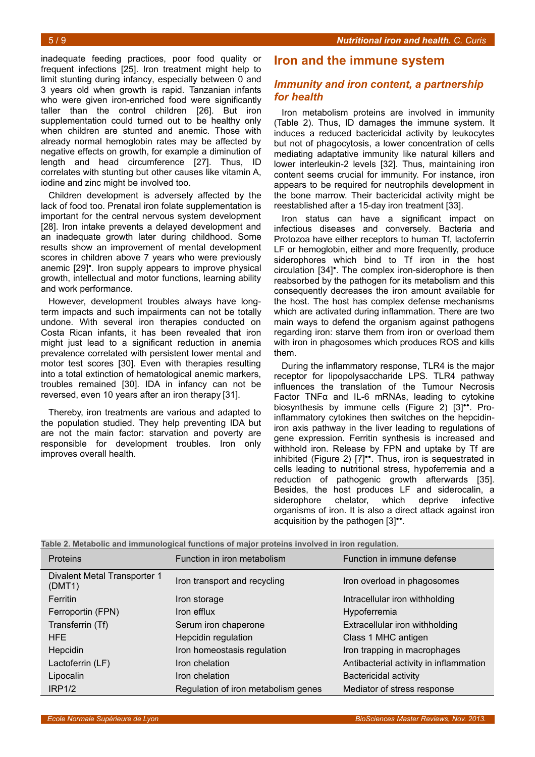inadequate feeding practices, poor food quality or frequent infections [25]. Iron treatment might help to limit stunting during infancy, especially between 0 and 3 years old when growth is rapid. Tanzanian infants who were given iron-enriched food were significantly taller than the control children [26]. But iron supplementation could turned out to be healthy only when children are stunted and anemic. Those with already normal hemoglobin rates may be affected by negative effects on growth, for example a diminution of length and head circumference [27]. Thus, ID correlates with stunting but other causes like vitamin A, iodine and zinc might be involved too.

Children development is adversely affected by the lack of food too. Prenatal iron folate supplementation is important for the central nervous system development [28]. Iron intake prevents a delayed development and an inadequate growth later during childhood. Some results show an improvement of mental development scores in children above 7 years who were previously anemic [29]<sup>•</sup>. Iron supply appears to improve physical growth, intellectual and motor functions, learning ability and work performance.

However, development troubles always have longterm impacts and such impairments can not be totally undone. With several iron therapies conducted on Costa Rican infants, it has been revealed that iron might just lead to a significant reduction in anemia prevalence correlated with persistent lower mental and motor test scores [30]. Even with therapies resulting into a total extinction of hematological anemic markers, troubles remained [30]. IDA in infancy can not be reversed, even 10 years after an iron therapy [31].

Thereby, iron treatments are various and adapted to the population studied. They help preventing IDA but are not the main factor: starvation and poverty are responsible for development troubles. Iron only improves overall health.

### **Iron and the immune system**

### *Immunity and iron content, a partnership for health*

Iron metabolism proteins are involved in immunity (Table [2\)](#page-4-0). Thus, ID damages the immune system. It induces a reduced bactericidal activity by leukocytes but not of phagocytosis, a lower concentration of cells mediating adaptative immunity like natural killers and lower interleukin-2 levels [32]. Thus, maintaining iron content seems crucial for immunity. For instance, iron appears to be required for neutrophils development in the bone marrow. Their bactericidal activity might be reestablished after a 15-day iron treatment [33].

Iron status can have a significant impact on infectious diseases and conversely. Bacteria and Protozoa have either receptors to human Tf, lactoferrin LF or hemoglobin, either and more frequently, produce siderophores which bind to Tf iron in the host circulation [34]<sup>•</sup>. The complex iron-siderophore is then reabsorbed by the pathogen for its metabolism and this consequently decreases the iron amount available for the host. The host has complex defense mechanisms which are activated during inflammation. There are two main ways to defend the organism against pathogens regarding iron: starve them from iron or overload them with iron in phagosomes which produces ROS and kills them.

During the inflammatory response, TLR4 is the major receptor for lipopolysaccharide LPS. TLR4 pathway influences the translation of the Tumour Necrosis Factor TNFα and IL-6 mRNAs, leading to cytokine biosynthesis by immune cells (Figure [2\)](#page-5-0) [3]<sup>\*\*</sup>. Proinflammatory cytokines then switches on the hepcidiniron axis pathway in the liver leading to regulations of gene expression. Ferritin synthesis is increased and withhold iron. Release by FPN and uptake by Tf are inhibited (Figure [2\)](#page-5-0) [7]<sup>\*\*</sup>. Thus, iron is sequestrated in cells leading to nutritional stress, hypoferremia and a reduction of pathogenic growth afterwards [35]. Besides, the host produces LF and siderocalin, a siderophore chelator, which deprive infective organisms of iron. It is also a direct attack against iron acquisition by the pathogen [3]".

<span id="page-4-0"></span>

|  |  |  | Table 2. Metabolic and immunological functions of major proteins involved in iron regulation. |
|--|--|--|-----------------------------------------------------------------------------------------------|
|--|--|--|-----------------------------------------------------------------------------------------------|

| <b>Proteins</b>                        | Function in iron metabolism         | Function in immune defense             |
|----------------------------------------|-------------------------------------|----------------------------------------|
| Divalent Metal Transporter 1<br>(DMT1) | Iron transport and recycling        | Iron overload in phagosomes            |
| Ferritin                               | Iron storage                        | Intracellular iron withholding         |
| Ferroportin (FPN)                      | Iron efflux                         | Hypoferremia                           |
| Transferrin (Tf)                       | Serum iron chaperone                | Extracellular iron withholding         |
| <b>HFE</b>                             | Hepcidin regulation                 | Class 1 MHC antigen                    |
| Hepcidin                               | Iron homeostasis regulation         | Iron trapping in macrophages           |
| Lactoferrin (LF)                       | Iron chelation                      | Antibacterial activity in inflammation |
| Lipocalin                              | Iron chelation                      | <b>Bactericidal activity</b>           |
| IRP <sub>1/2</sub>                     | Regulation of iron metabolism genes | Mediator of stress response            |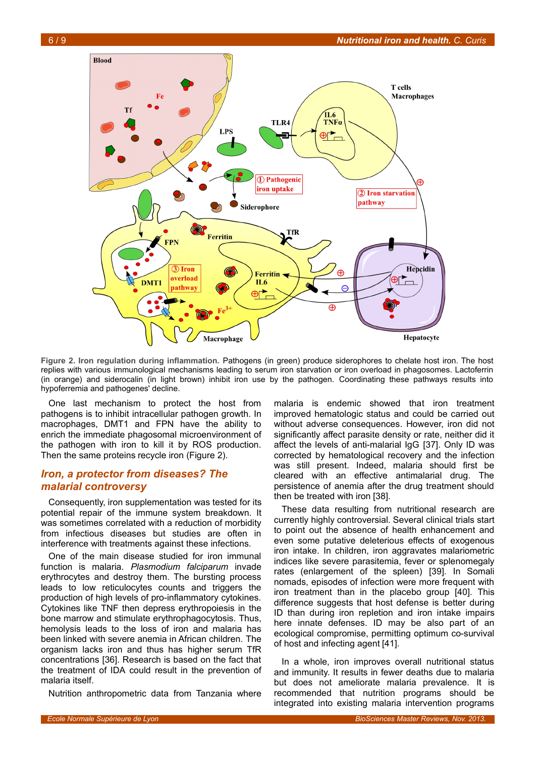

<span id="page-5-0"></span>**Figure 2. Iron regulation during inflammation.** Pathogens (in green) produce siderophores to chelate host iron. The host replies with various immunological mechanisms leading to serum iron starvation or iron overload in phagosomes. Lactoferrin (in orange) and siderocalin (in light brown) inhibit iron use by the pathogen. Coordinating these pathways results into hypoferremia and pathogenes' decline.

One last mechanism to protect the host from pathogens is to inhibit intracellular pathogen growth. In macrophages, DMT1 and FPN have the ability to enrich the immediate phagosomal microenvironment of the pathogen with iron to kill it by ROS production. Then the same proteins recycle iron (Figure [2\)](#page-5-0).

### *Iron, a protector from diseases? The malarial controversy*

Consequently, iron supplementation was tested for its potential repair of the immune system breakdown. It was sometimes correlated with a reduction of morbidity from infectious diseases but studies are often in interference with treatments against these infections.

One of the main disease studied for iron immunal function is malaria. *Plasmodium falciparum* invade erythrocytes and destroy them. The bursting process leads to low reticulocytes counts and triggers the production of high levels of pro-inflammatory cytokines. Cytokines like TNF then depress erythropoiesis in the bone marrow and stimulate erythrophagocytosis. Thus, hemolysis leads to the loss of iron and malaria has been linked with severe anemia in African children. The organism lacks iron and thus has higher serum TfR concentrations [36]. Research is based on the fact that the treatment of IDA could result in the prevention of malaria itself.

Nutrition anthropometric data from Tanzania where

malaria is endemic showed that iron treatment improved hematologic status and could be carried out without adverse consequences. However, iron did not significantly affect parasite density or rate, neither did it affect the levels of anti-malarial IgG [37]. Only ID was corrected by hematological recovery and the infection was still present. Indeed, malaria should first be cleared with an effective antimalarial drug. The persistence of anemia after the drug treatment should then be treated with iron [38].

These data resulting from nutritional research are currently highly controversial. Several clinical trials start to point out the absence of health enhancement and even some putative deleterious effects of exogenous iron intake. In children, iron aggravates malariometric indices like severe parasitemia, fever or splenomegaly rates (enlargement of the spleen) [39]. In Somali nomads, episodes of infection were more frequent with iron treatment than in the placebo group [40]. This difference suggests that host defense is better during ID than during iron repletion and iron intake impairs here innate defenses. ID may be also part of an ecological compromise, permitting optimum co-survival of host and infecting agent [41].

In a whole, iron improves overall nutritional status and immunity. It results in fewer deaths due to malaria but does not ameliorate malaria prevalence. It is recommended that nutrition programs should be integrated into existing malaria intervention programs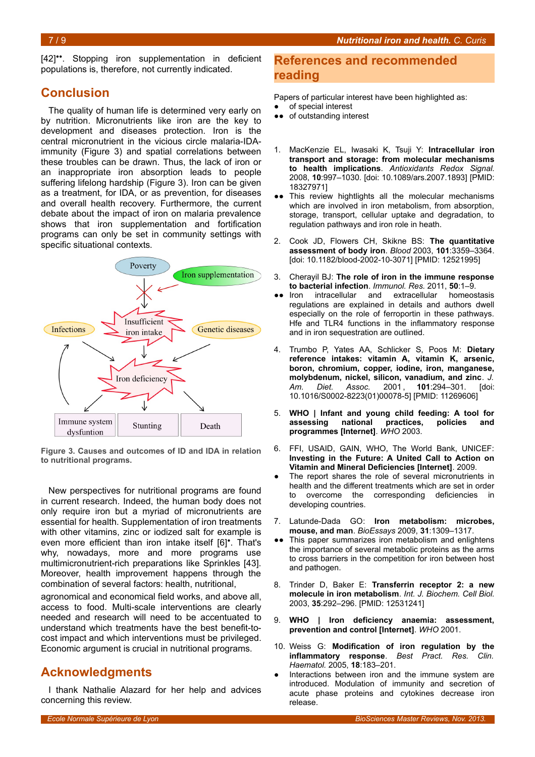[42]\*\*. Stopping iron supplementation in deficient populations is, therefore, not currently indicated.

# **Conclusion**

The quality of human life is determined very early on by nutrition. Micronutrients like iron are the key to development and diseases protection. Iron is the central micronutrient in the vicious circle malaria-IDAimmunity (Figure [3\)](#page-6-0) and spatial correlations between these troubles can be drawn. Thus, the lack of iron or an inappropriate iron absorption leads to people suffering lifelong hardship (Figure [3\)](#page-6-0). Iron can be given as a treatment, for IDA, or as prevention, for diseases and overall health recovery. Furthermore, the current debate about the impact of iron on malaria prevalence shows that iron supplementation and fortification programs can only be set in community settings with specific situational contexts.



<span id="page-6-0"></span>**Figure 3. Causes and outcomes of ID and IDA in relation to nutritional programs.**

New perspectives for nutritional programs are found in current research. Indeed, the human body does not only require iron but a myriad of micronutrients are essential for health. Supplementation of iron treatments with other vitamins, zinc or iodized salt for example is even more efficient than iron intake itself [6]<sup>•</sup>. That's why, nowadays, more and more programs use multimicronutrient-rich preparations like Sprinkles [43]. Moreover, health improvement happens through the combination of several factors: health, nutritional,

agronomical and economical field works, and above all, access to food. Multi-scale interventions are clearly needed and research will need to be accentuated to understand which treatments have the best benefit-tocost impact and which interventions must be privileged. Economic argument is crucial in nutritional programs.

# **Acknowledgments**

I thank Nathalie Alazard for her help and advices concerning this review.

### **References and recommended reading**

Papers of particular interest have been highlighted as:

- of special interest
- ●● of outstanding interest
- 1. MacKenzie EL, Iwasaki K, Tsuji Y: **Intracellular iron transport and storage: from molecular mechanisms to health implications**. *Antioxidants Redox Signal.* 2008, **10**:997–1030. [doi: 10.1089/ars.2007.1893] [PMID: 18327971]
- ●● This review hightlights all the molecular mechanisms which are involved in iron metabolism, from absorption, storage, transport, cellular uptake and degradation, to regulation pathways and iron role in heath.
- 2. Cook JD, Flowers CH, Skikne BS: **The quantitative assessment of body iron**. *Blood* 2003, **101**:3359–3364. [doi: 10.1182/blood-2002-10-3071] [PMID: 12521995]
- 3. Cherayil BJ: **The role of iron in the immune response to bacterial infection**. *Immunol. Res.* 2011, **50**:1–9.
- ●● Iron intracellular and extracellular homeostasis regulations are explained in details and authors dwell especially on the role of ferroportin in these pathways. Hfe and TLR4 functions in the inflammatory response and in iron sequestration are outlined.
- 4. Trumbo P, Yates AA, Schlicker S, Poos M: **Dietary reference intakes: vitamin A, vitamin K, arsenic, boron, chromium, copper, iodine, iron, manganese, molybdenum, nickel, silicon, vanadium, and zinc**. *J. Am. Diet. Assoc.* 2001 , **101**:294–301. [doi: 10.1016/S0002-8223(01)00078-5] [PMID: 11269606]
- 5. **WHO | Infant and young child feeding: A tool for assessing national practices, policies and programmes [Internet]**. *WHO* 2003.
- 6. FFI, USAID, GAIN, WHO, The World Bank, UNICEF: **Investing in the Future: A United Call to Action on Vitamin and Mineral Deficiencies [Internet]**. 2009.
- The report shares the role of several micronutrients in health and the different treatments which are set in order to overcome the corresponding deficiencies in developing countries.
- 7. Latunde-Dada GO: **Iron metabolism: microbes, mouse, and man**. *BioEssays* 2009, **31**:1309–1317.
- ●● This paper summarizes iron metabolism and enlightens the importance of several metabolic proteins as the arms to cross barriers in the competition for iron between host and pathogen.
- 8. Trinder D, Baker E: **Transferrin receptor 2: a new molecule in iron metabolism**. *Int. J. Biochem. Cell Biol.* 2003, **35**:292–296. [PMID: 12531241]
- 9. **WHO | Iron deficiency anaemia: assessment, prevention and control [Internet]**. *WHO* 2001.
- 10. Weiss G: **Modification of iron regulation by the inflammatory response**. *Best Pract. Res. Clin. Haematol.* 2005, **18**:183–201.
- Interactions between iron and the immune system are introduced. Modulation of immunity and secretion of acute phase proteins and cytokines decrease iron release.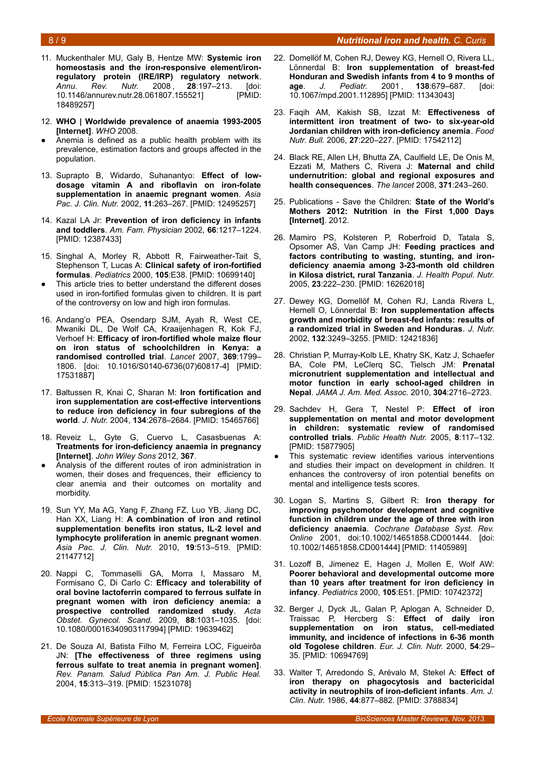#### 8 / 9 *Nutritional iron and health. C. Curis*

- 11. Muckenthaler MU, Galy B, Hentze MW: **Systemic iron homeostasis and the iron-responsive element/ironregulatory protein (IRE/IRP) regulatory network**. *Annu. Rev. Nutr.* 2008 , **28**:197–213. [doi: 10.1146/annurev.nutr.28.061807.155521] [PMID: 18489257]
- 12. **WHO | Worldwide prevalence of anaemia 1993-2005 [Internet]**. *WHO* 2008.
- Anemia is defined as a public health problem with its prevalence, estimation factors and groups affected in the population.
- 13. Suprapto B, Widardo, Suhanantyo: **Effect of lowdosage vitamin A and riboflavin on iron-folate supplementation in anaemic pregnant women**. *Asia Pac. J. Clin. Nutr.* 2002, **11**:263–267. [PMID: 12495257]
- 14. Kazal LA Jr: **Prevention of iron deficiency in infants and toddlers**. *Am. Fam. Physician* 2002, **66**:1217–1224. [PMID: 12387433]
- 15. Singhal A, Morley R, Abbott R, Fairweather-Tait S, Stephenson T, Lucas A: **Clinical safety of iron-fortified formulas**. *Pediatrics* 2000, **105**:E38. [PMID: 10699140]
- This article tries to better understand the different doses used in iron-fortified formulas given to children. It is part of the controversy on low and high iron formulas.
- 16. Andang'o PEA, Osendarp SJM, Ayah R, West CE, Mwaniki DL, De Wolf CA, Kraaijenhagen R, Kok FJ, Verhoef H: **Efficacy of iron-fortified whole maize flour on iron status of schoolchildren in Kenya: a randomised controlled trial**. *Lancet* 2007, **369**:1799– 1806. [doi: 10.1016/S0140-6736(07)60817-4] [PMID: 17531887]
- 17. Baltussen R, Knai C, Sharan M: **Iron fortification and iron supplementation are cost-effective interventions to reduce iron deficiency in four subregions of the world**. *J. Nutr.* 2004, **134**:2678–2684. [PMID: 15465766]
- 18. Reveiz L, Gyte G, Cuervo L, Casasbuenas A: **Treatments for iron-deficiency anaemia in pregnancy [Internet]**. *John Wiley Sons* 2012, **367**.
- Analysis of the different routes of iron administration in women, their doses and frequences, their efficiency to clear anemia and their outcomes on mortality and morbidity.
- 19. Sun YY, Ma AG, Yang F, Zhang FZ, Luo YB, Jiang DC, Han XX, Liang H: **A combination of iron and retinol supplementation benefits iron status, IL-2 level and lymphocyte proliferation in anemic pregnant women**. *Asia Pac. J. Clin. Nutr.* 2010, **19**:513–519. [PMID: 21147712]
- 20. Nappi C, Tommaselli GA, Morra I, Massaro M, Formisano C, Di Carlo C: **Efficacy and tolerability of oral bovine lactoferrin compared to ferrous sulfate in pregnant women with iron deficiency anemia: a prospective controlled randomized study**. *Acta Obstet. Gynecol. Scand.* 2009, **88**:1031–1035. [doi: 10.1080/00016340903117994] [PMID: 19639462]
- 21. De Souza AI, Batista Filho M, Ferreira LOC, Figueirôa JN: **[The effectiveness of three regimens using ferrous sulfate to treat anemia in pregnant women]**. *Rev. Panam. Salud Pública Pan Am. J. Public Heal.* 2004, **15**:313–319. [PMID: 15231078]
- 22. Domellöf M, Cohen RJ, Dewey KG, Hernell O, Rivera LL, Lönnerdal B: **Iron supplementation of breast-fed Honduran and Swedish infants from 4 to 9 months of age**. *J. Pediatr.* 2001 , **138**:679–687. [doi: 10.1067/mpd.2001.112895] [PMID: 11343043]
- 23. Faqih AM, Kakish SB, Izzat M: **Effectiveness of intermittent iron treatment of two- to six-year-old Jordanian children with iron-deficiency anemia**. *Food Nutr. Bull.* 2006, **27**:220–227. [PMID: 17542112]
- 24. Black RE, Allen LH, Bhutta ZA, Caulfield LE, De Onis M, Ezzati M, Mathers C, Rivera J: **Maternal and child undernutrition: global and regional exposures and health consequences**. *The lancet* 2008, **371**:243–260.
- 25. Publications Save the Children: **State of the World's Mothers 2012: Nutrition in the First 1,000 Days [Internet]**. 2012.
- 26. Mamiro PS, Kolsteren P, Roberfroid D, Tatala S, Opsomer AS, Van Camp JH: **Feeding practices and factors contributing to wasting, stunting, and irondeficiency anaemia among 3-23-month old children in Kilosa district, rural Tanzania**. *J. Health Popul. Nutr.* 2005, **23**:222–230. [PMID: 16262018]
- 27. Dewey KG, Domellöf M, Cohen RJ, Landa Rivera L, Hernell O, Lönnerdal B: **Iron supplementation affects growth and morbidity of breast-fed infants: results of a randomized trial in Sweden and Honduras**. *J. Nutr.* 2002, **132**:3249–3255. [PMID: 12421836]
- 28. Christian P, Murray-Kolb LE, Khatry SK, Katz J, Schaefer BA, Cole PM, LeClerq SC, Tielsch JM: **Prenatal micronutrient supplementation and intellectual and motor function in early school-aged children in Nepal**. *JAMA J. Am. Med. Assoc.* 2010, **304**:2716–2723.
- 29. Sachdev H, Gera T, Nestel P: **Effect of iron supplementation on mental and motor development in children: systematic review of randomised controlled trials**. *Public Health Nutr.* 2005, **8**:117–132. [PMID: 15877905]
- This systematic review identifies various interventions and studies their impact on development in children. It enhances the controversy of iron potential benefits on mental and intelligence tests scores.
- 30. Logan S, Martins S, Gilbert R: **Iron therapy for improving psychomotor development and cognitive function in children under the age of three with iron deficiency anaemia**. *Cochrane Database Syst. Rev. Online* 2001, doi:10.1002/14651858.CD001444. [doi: 10.1002/14651858.CD001444] [PMID: 11405989]
- 31. Lozoff B, Jimenez E, Hagen J, Mollen E, Wolf AW: **Poorer behavioral and developmental outcome more than 10 years after treatment for iron deficiency in infancy**. *Pediatrics* 2000, **105**:E51. [PMID: 10742372]
- 32. Berger J, Dyck JL, Galan P, Aplogan A, Schneider D, Traissac P, Hercberg S: **Effect of daily iron supplementation on iron status, cell-mediated immunity, and incidence of infections in 6-36 month old Togolese children**. *Eur. J. Clin. Nutr.* 2000, **54**:29– 35. [PMID: 10694769]
- 33. Walter T, Arredondo S, Arévalo M, Stekel A: **Effect of iron therapy on phagocytosis and bactericidal activity in neutrophils of iron-deficient infants**. *Am. J. Clin. Nutr.* 1986, **44**:877–882. [PMID: 3788834]